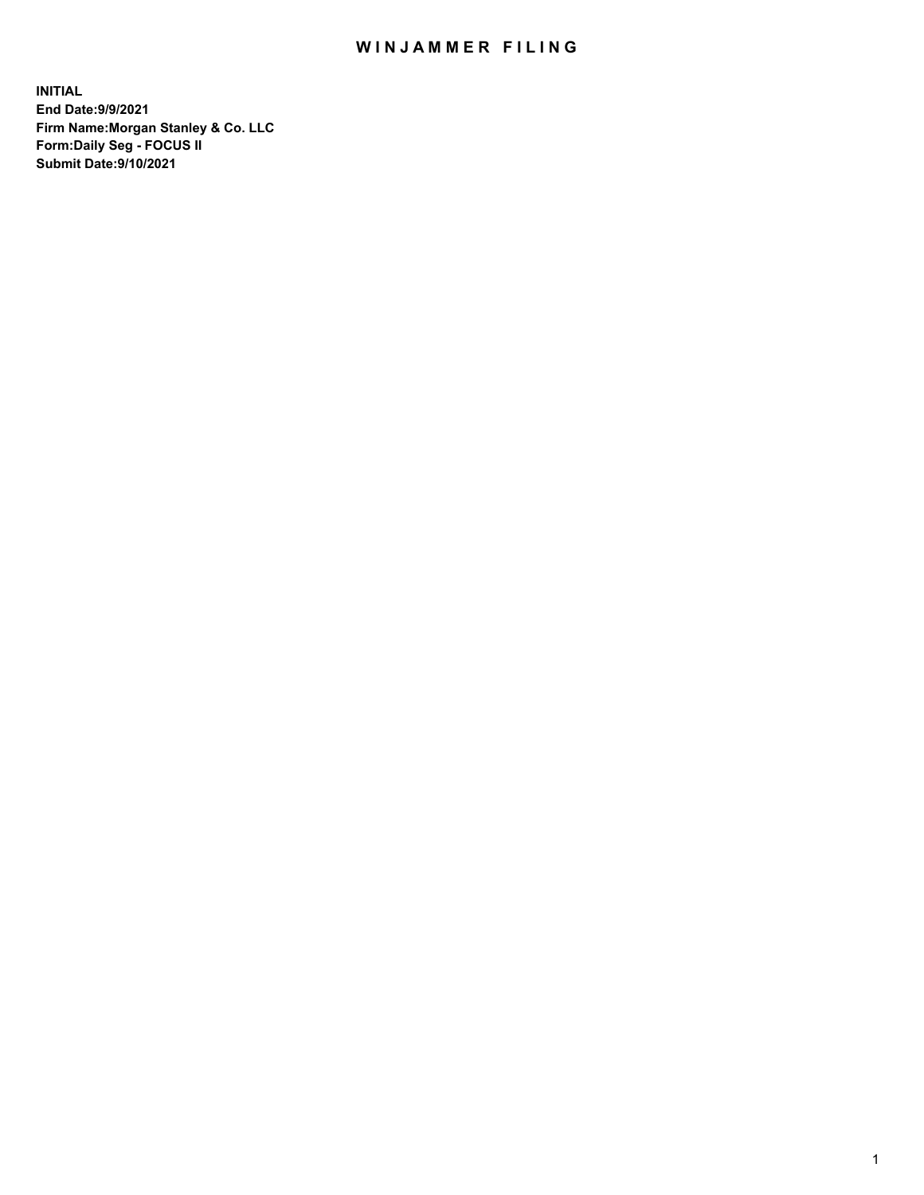## WIN JAMMER FILING

**INITIAL End Date:9/9/2021 Firm Name:Morgan Stanley & Co. LLC Form:Daily Seg - FOCUS II Submit Date:9/10/2021**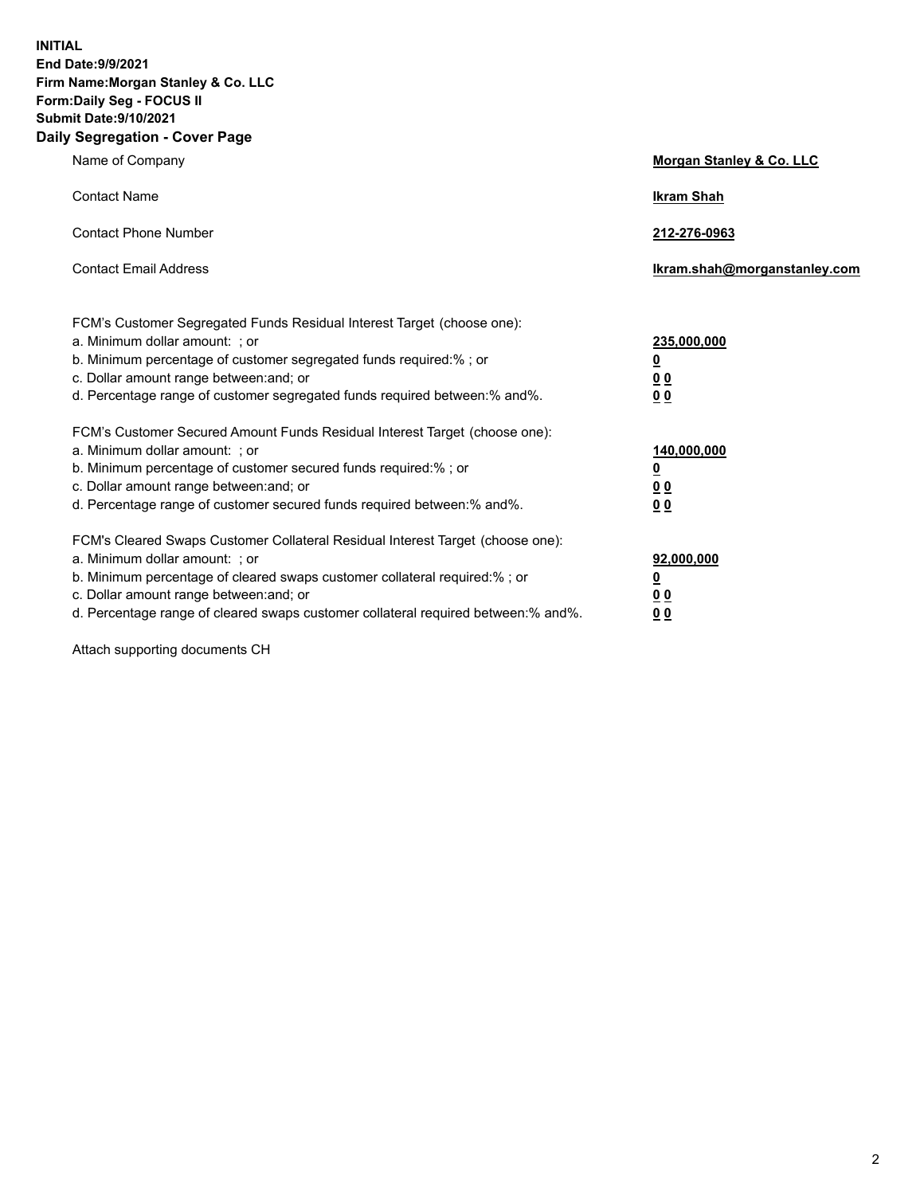**INITIAL End Date:9/9/2021 Firm Name:Morgan Stanley & Co. LLC Form:Daily Seg - FOCUS II Submit Date:9/10/2021 Daily Segregation - Cover Page**

| Name of Company                                                                                                                                                                                                                                                                                                                | <b>Morgan Stanley &amp; Co. LLC</b>                    |
|--------------------------------------------------------------------------------------------------------------------------------------------------------------------------------------------------------------------------------------------------------------------------------------------------------------------------------|--------------------------------------------------------|
| <b>Contact Name</b>                                                                                                                                                                                                                                                                                                            | <b>Ikram Shah</b>                                      |
| <b>Contact Phone Number</b>                                                                                                                                                                                                                                                                                                    | 212-276-0963                                           |
| <b>Contact Email Address</b>                                                                                                                                                                                                                                                                                                   | Ikram.shah@morganstanley.com                           |
| FCM's Customer Segregated Funds Residual Interest Target (choose one):<br>a. Minimum dollar amount: ; or<br>b. Minimum percentage of customer segregated funds required:% ; or<br>c. Dollar amount range between: and; or<br>d. Percentage range of customer segregated funds required between: % and %.                       | 235,000,000<br><u>0</u><br>00<br>0 Q                   |
| FCM's Customer Secured Amount Funds Residual Interest Target (choose one):<br>a. Minimum dollar amount: ; or<br>b. Minimum percentage of customer secured funds required:% ; or<br>c. Dollar amount range between: and; or<br>d. Percentage range of customer secured funds required between:% and%.                           | 140,000,000<br><u>0</u><br><u>00</u><br>0 <sub>0</sub> |
| FCM's Cleared Swaps Customer Collateral Residual Interest Target (choose one):<br>a. Minimum dollar amount: ; or<br>b. Minimum percentage of cleared swaps customer collateral required:% ; or<br>c. Dollar amount range between: and; or<br>d. Percentage range of cleared swaps customer collateral required between:% and%. | 92,000,000<br><u>0</u><br><u>00</u><br>0 <sub>0</sub>  |

Attach supporting documents CH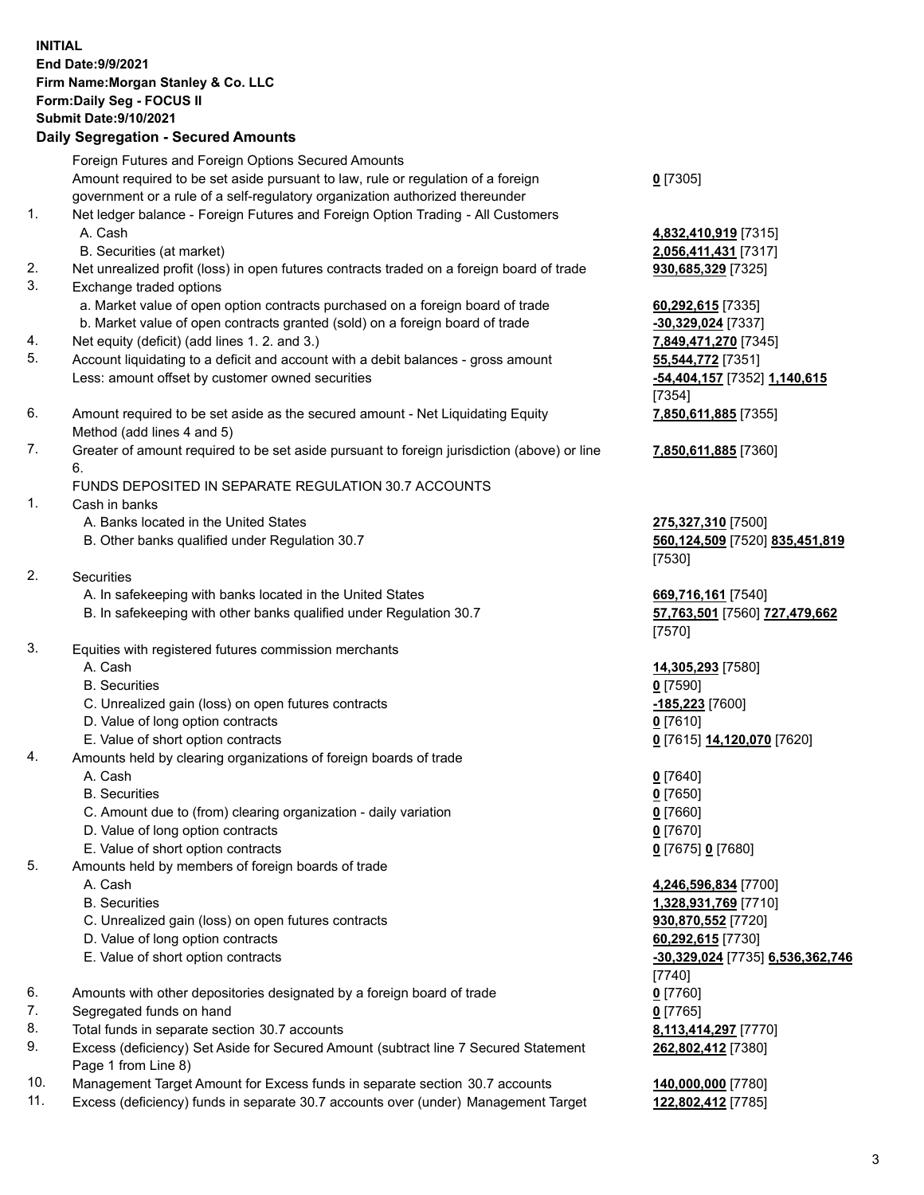## **INITIAL End Date:9/9/2021 Firm Name:Morgan Stanley & Co. LLC Form:Daily Seg - FOCUS II Submit Date:9/10/2021 Daily Segregation - Secured Amounts**

Foreign Futures and Foreign Options Secured Amounts Amount required to be set aside pursuant to law, rule or regulation of a foreign government or a rule of a self-regulatory organization authorized thereunder

- 1. Net ledger balance Foreign Futures and Foreign Option Trading All Customers A. Cash **4,832,410,919** [7315]
	- B. Securities (at market) **2,056,411,431** [7317]
- 2. Net unrealized profit (loss) in open futures contracts traded on a foreign board of trade **930,685,329** [7325]
- 3. Exchange traded options
	- a. Market value of open option contracts purchased on a foreign board of trade **60,292,615** [7335]
	- b. Market value of open contracts granted (sold) on a foreign board of trade **-30,329,024** [7337]
- 4. Net equity (deficit) (add lines 1. 2. and 3.) **7,849,471,270** [7345]
- 5. Account liquidating to a deficit and account with a debit balances gross amount **55,544,772** [7351] Less: amount offset by customer owned securities **-54,404,157** [7352] **1,140,615**
- 6. Amount required to be set aside as the secured amount Net Liquidating Equity Method (add lines 4 and 5)
- 7. Greater of amount required to be set aside pursuant to foreign jurisdiction (above) or line 6.

## FUNDS DEPOSITED IN SEPARATE REGULATION 30.7 ACCOUNTS

- 1. Cash in banks
	- A. Banks located in the United States **275,327,310** [7500]
	- B. Other banks qualified under Regulation 30.7 **560,124,509** [7520] **835,451,819**
- 2. Securities
	- A. In safekeeping with banks located in the United States **669,716,161** [7540]
	- B. In safekeeping with other banks qualified under Regulation 30.7 **57,763,501** [7560] **727,479,662**
- 3. Equities with registered futures commission merchants
	-
	- B. Securities **0** [7590]
	- C. Unrealized gain (loss) on open futures contracts **-185,223** [7600]
	- D. Value of long option contracts **0** [7610]
	- E. Value of short option contracts **0** [7615] **14,120,070** [7620]
- 4. Amounts held by clearing organizations of foreign boards of trade
	- A. Cash **0** [7640]
	- B. Securities **0** [7650]
	- C. Amount due to (from) clearing organization daily variation **0** [7660]
	- D. Value of long option contracts **0** [7670]
	- E. Value of short option contracts **0** [7675] **0** [7680]
- 5. Amounts held by members of foreign boards of trade
	-
	-
	- C. Unrealized gain (loss) on open futures contracts **930,870,552** [7720]
	- D. Value of long option contracts **60,292,615** [7730]
	- E. Value of short option contracts **-30,329,024** [7735] **6,536,362,746**
- 6. Amounts with other depositories designated by a foreign board of trade **0** [7760]
- 7. Segregated funds on hand **0** [7765]
- 8. Total funds in separate section 30.7 accounts **8,113,414,297** [7770]
- 9. Excess (deficiency) Set Aside for Secured Amount (subtract line 7 Secured Statement Page 1 from Line 8)
- 10. Management Target Amount for Excess funds in separate section 30.7 accounts **140,000,000** [7780]
- 11. Excess (deficiency) funds in separate 30.7 accounts over (under) Management Target **122,802,412** [7785]

**0** [7305]

[7354] **7,850,611,885** [7355]

**7,850,611,885** [7360]

[7530]

[7570]

A. Cash **14,305,293** [7580]

 A. Cash **4,246,596,834** [7700] B. Securities **1,328,931,769** [7710] [7740] **262,802,412** [7380]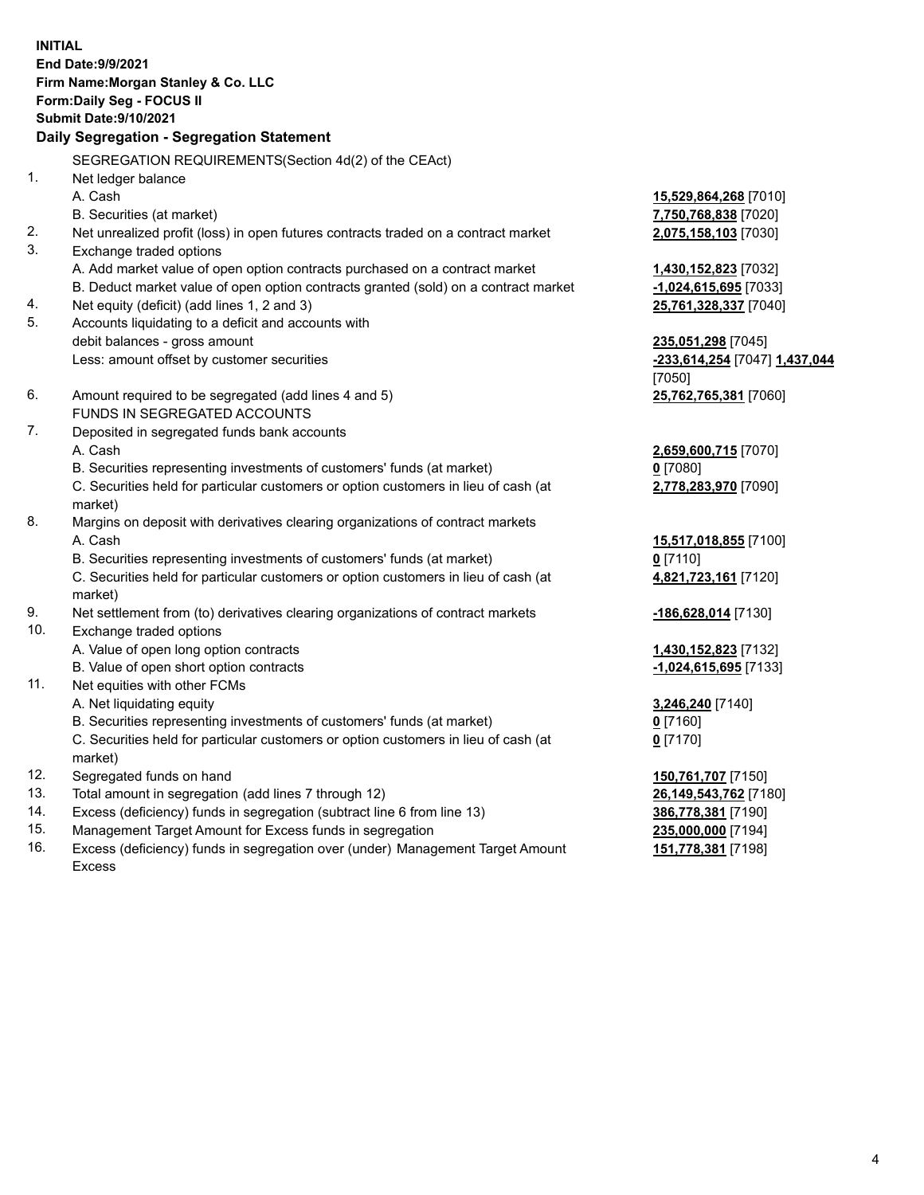**INITIAL End Date:9/9/2021 Firm Name:Morgan Stanley & Co. LLC Form:Daily Seg - FOCUS II Submit Date:9/10/2021 Daily Segregation - Segregation Statement** SEGREGATION REQUIREMENTS(Section 4d(2) of the CEAct) 1. Net ledger balance A. Cash **15,529,864,268** [7010] B. Securities (at market) **7,750,768,838** [7020] 2. Net unrealized profit (loss) in open futures contracts traded on a contract market **2,075,158,103** [7030] 3. Exchange traded options A. Add market value of open option contracts purchased on a contract market **1,430,152,823** [7032] B. Deduct market value of open option contracts granted (sold) on a contract market **-1,024,615,695** [7033] 4. Net equity (deficit) (add lines 1, 2 and 3) **25,761,328,337** [7040] 5. Accounts liquidating to a deficit and accounts with debit balances - gross amount **235,051,298** [7045] Less: amount offset by customer securities **-233,614,254** [7047] **1,437,044** [7050] 6. Amount required to be segregated (add lines 4 and 5) **25,762,765,381** [7060] FUNDS IN SEGREGATED ACCOUNTS 7. Deposited in segregated funds bank accounts A. Cash **2,659,600,715** [7070] B. Securities representing investments of customers' funds (at market) **0** [7080] C. Securities held for particular customers or option customers in lieu of cash (at market) **2,778,283,970** [7090] 8. Margins on deposit with derivatives clearing organizations of contract markets A. Cash **15,517,018,855** [7100] B. Securities representing investments of customers' funds (at market) **0** [7110] C. Securities held for particular customers or option customers in lieu of cash (at market) **4,821,723,161** [7120] 9. Net settlement from (to) derivatives clearing organizations of contract markets **-186,628,014** [7130] 10. Exchange traded options A. Value of open long option contracts **1,430,152,823** [7132] B. Value of open short option contracts **-1,024,615,695** [7133] 11. Net equities with other FCMs A. Net liquidating equity **3,246,240** [7140] B. Securities representing investments of customers' funds (at market) **0** [7160] C. Securities held for particular customers or option customers in lieu of cash (at market) **0** [7170] 12. Segregated funds on hand **150,761,707** [7150] 13. Total amount in segregation (add lines 7 through 12) **26,149,543,762** [7180] 14. Excess (deficiency) funds in segregation (subtract line 6 from line 13) **386,778,381** [7190]

- 15. Management Target Amount for Excess funds in segregation **235,000,000** [7194]
- 16. Excess (deficiency) funds in segregation over (under) Management Target Amount Excess

**151,778,381** [7198]